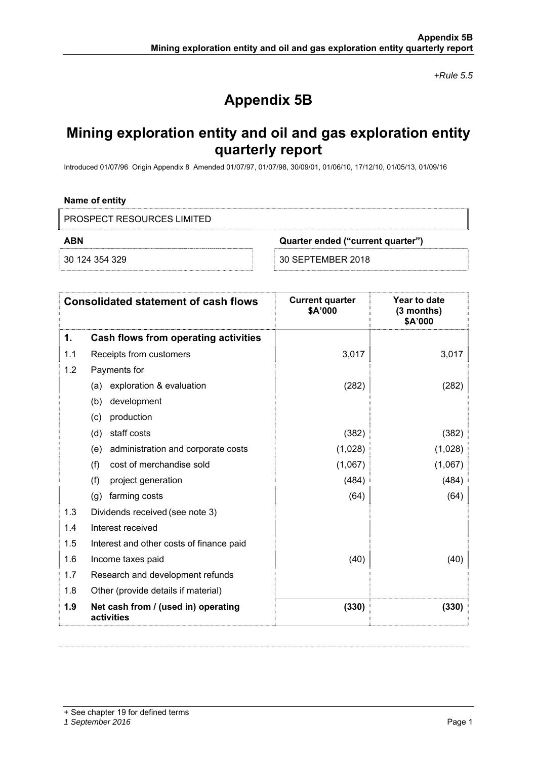*+Rule 5.5* 

# **Appendix 5B**

# **Mining exploration entity and oil and gas exploration entity quarterly report**

Introduced 01/07/96 Origin Appendix 8 Amended 01/07/97, 01/07/98, 30/09/01, 01/06/10, 17/12/10, 01/05/13, 01/09/16

## **Name of entity**

PROSPECT RESOURCES LIMITED

**ABN Quarter ended ("current quarter")** 

30 124 354 329 30 SEPTEMBER 2018

|     | <b>Consolidated statement of cash flows</b>       | <b>Current quarter</b><br>\$A'000 | Year to date<br>(3 months)<br>\$A'000 |
|-----|---------------------------------------------------|-----------------------------------|---------------------------------------|
| 1.  | Cash flows from operating activities              |                                   |                                       |
| 1.1 | Receipts from customers                           | 3,017                             | 3,017                                 |
| 1.2 | Payments for                                      |                                   |                                       |
|     | exploration & evaluation<br>(a)                   | (282)                             | (282)                                 |
|     | development<br>(b)                                |                                   |                                       |
|     | production<br>(c)                                 |                                   |                                       |
|     | staff costs<br>(d)                                | (382)                             | (382)                                 |
|     | administration and corporate costs<br>(e)         | (1,028)                           | (1,028)                               |
|     | (f)<br>cost of merchandise sold                   | (1,067)                           | (1,067)                               |
|     | (f)<br>project generation                         | (484)                             | (484)                                 |
|     | farming costs<br>(g)                              | (64)                              | (64)                                  |
| 1.3 | Dividends received (see note 3)                   |                                   |                                       |
| 1.4 | Interest received                                 |                                   |                                       |
| 1.5 | Interest and other costs of finance paid          |                                   |                                       |
| 1.6 | Income taxes paid                                 | (40)                              | (40)                                  |
| 1.7 | Research and development refunds                  |                                   |                                       |
| 1.8 | Other (provide details if material)               |                                   |                                       |
| 1.9 | Net cash from / (used in) operating<br>activities | (330)                             | (330)                                 |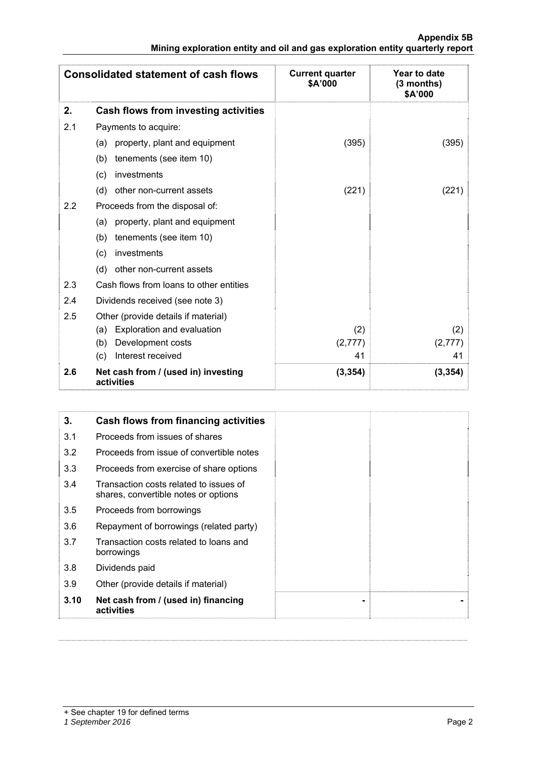## **Appendix 5B Mining exploration entity and oil and gas exploration entity quarterly report**

|     | <b>Consolidated statement of cash flows</b>       | <b>Current quarter</b><br>\$A'000 | Year to date<br>(3 months)<br>\$A'000 |
|-----|---------------------------------------------------|-----------------------------------|---------------------------------------|
| 2.  | Cash flows from investing activities              |                                   |                                       |
| 2.1 | Payments to acquire:                              |                                   |                                       |
|     | property, plant and equipment<br>(a)              | (395)                             | (395)                                 |
|     | tenements (see item 10)<br>(b)                    |                                   |                                       |
|     | investments<br>(c)                                |                                   |                                       |
|     | other non-current assets<br>(d)                   | (221)                             | (221)                                 |
| 2.2 | Proceeds from the disposal of:                    |                                   |                                       |
|     | property, plant and equipment<br>(a)              |                                   |                                       |
|     | tenements (see item 10)<br>(b)                    |                                   |                                       |
|     | investments<br>(c)                                |                                   |                                       |
|     | (d)<br>other non-current assets                   |                                   |                                       |
| 2.3 | Cash flows from loans to other entities           |                                   |                                       |
| 2.4 | Dividends received (see note 3)                   |                                   |                                       |
| 2.5 | Other (provide details if material)               |                                   |                                       |
|     | Exploration and evaluation<br>(a)                 | (2)                               | (2)                                   |
|     | Development costs<br>(b)                          | (2, 777)                          | (2,777)                               |
|     | Interest received<br>(c)                          | 41                                | 41                                    |
| 2.6 | Net cash from / (used in) investing<br>activities | (3, 354)                          | (3, 354)                              |

| 3.   | Cash flows from financing activities                                           |
|------|--------------------------------------------------------------------------------|
| 3.1  | Proceeds from issues of shares                                                 |
| 3.2  | Proceeds from issue of convertible notes                                       |
| 3.3  | Proceeds from exercise of share options                                        |
| 3.4  | Transaction costs related to issues of<br>shares, convertible notes or options |
| 3.5  | Proceeds from borrowings                                                       |
| 3.6  | Repayment of borrowings (related party)                                        |
| 3.7  | Transaction costs related to loans and<br>borrowings                           |
| 3.8  | Dividends paid                                                                 |
| 3.9  | Other (provide details if material)                                            |
| 3.10 | Net cash from / (used in) financing<br>activities                              |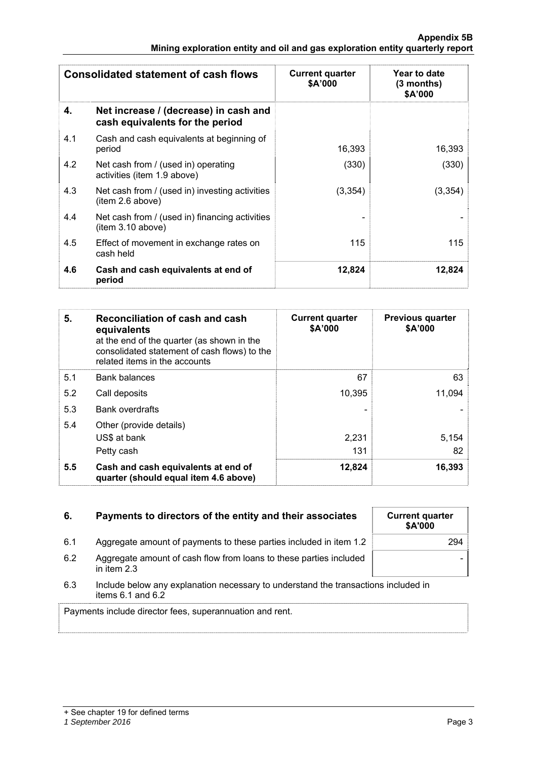| <b>Consolidated statement of cash flows</b> |                                                                          | <b>Current quarter</b><br>\$A'000 | Year to date<br>(3 months)<br>\$A'000 |
|---------------------------------------------|--------------------------------------------------------------------------|-----------------------------------|---------------------------------------|
| 4.                                          | Net increase / (decrease) in cash and<br>cash equivalents for the period |                                   |                                       |
| 4.1                                         | Cash and cash equivalents at beginning of<br>period                      | 16,393                            | 16,393                                |
| 4.2                                         | Net cash from / (used in) operating<br>activities (item 1.9 above)       | (330)                             | (330)                                 |
| 4.3                                         | Net cash from / (used in) investing activities<br>(item 2.6 above)       | (3, 354)                          | (3, 354)                              |
| 4.4                                         | Net cash from / (used in) financing activities<br>(item 3.10 above)      |                                   |                                       |
| 4.5                                         | Effect of movement in exchange rates on<br>cash held                     | 115                               | 115                                   |
| 4.6                                         | Cash and cash equivalents at end of<br>period                            | 12,824                            | 12,824                                |

| 5.  | Reconciliation of cash and cash<br>equivalents<br>at the end of the quarter (as shown in the<br>consolidated statement of cash flows) to the<br>related items in the accounts | <b>Current quarter</b><br>\$A'000 | <b>Previous quarter</b><br>\$A'000 |
|-----|-------------------------------------------------------------------------------------------------------------------------------------------------------------------------------|-----------------------------------|------------------------------------|
| 5.1 | <b>Bank balances</b>                                                                                                                                                          | 67                                | 63                                 |
| 5.2 | Call deposits                                                                                                                                                                 | 10,395                            | 11,094                             |
| 5.3 | <b>Bank overdrafts</b>                                                                                                                                                        |                                   |                                    |
| 5.4 | Other (provide details)                                                                                                                                                       |                                   |                                    |
|     | US\$ at bank                                                                                                                                                                  | 2,231                             | 5,154                              |
|     | Petty cash                                                                                                                                                                    | 131                               | 82                                 |
| 5.5 | Cash and cash equivalents at end of<br>quarter (should equal item 4.6 above)                                                                                                  | 12,824                            | 16,393                             |

| 6.                                                                                                                 | Payments to directors of the entity and their associates                          | <b>Current quarter</b><br>\$A'000 |  |  |  |
|--------------------------------------------------------------------------------------------------------------------|-----------------------------------------------------------------------------------|-----------------------------------|--|--|--|
| 6.1                                                                                                                | Aggregate amount of payments to these parties included in item 1.2                | 294                               |  |  |  |
| 6.2                                                                                                                | Aggregate amount of cash flow from loans to these parties included<br>in item 2.3 |                                   |  |  |  |
| Include below any explanation necessary to understand the transactions included in<br>6.3<br>items $6.1$ and $6.2$ |                                                                                   |                                   |  |  |  |
|                                                                                                                    | Payments include director fees, superannuation and rent.                          |                                   |  |  |  |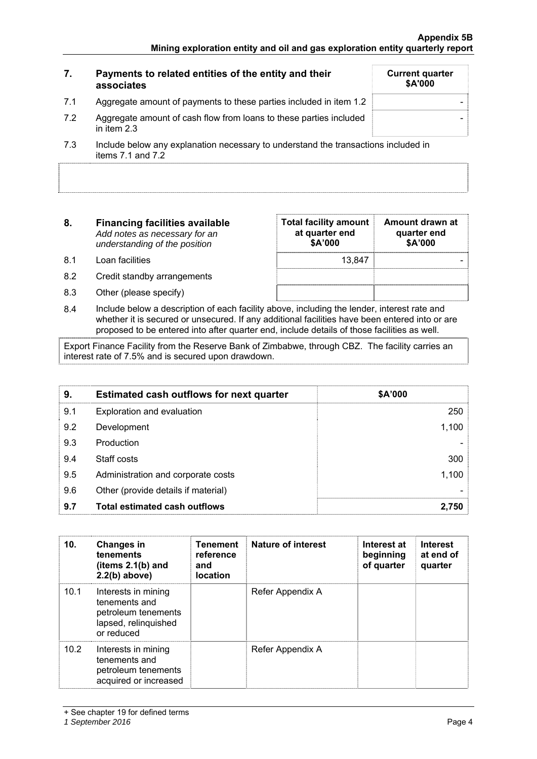#### **7. Payments to related entities of the entity and their associates Current quarter \$A'000**  7.1 Aggregate amount of payments to these parties included in item 1.2  $\vert$ 7.2 Aggregate amount of cash flow from loans to these parties included in item 2.3 - 7.3 Include below any explanation necessary to understand the transactions included in items  $7.1$  and  $7.2$

| 8.   | <b>Financing facilities available</b><br>Add notes as necessary for an<br>understanding of the position | <b>Total facility amount</b><br>at quarter end<br>\$A'000 | Amount drawn at<br>quarter end<br>\$A'000 |  |
|------|---------------------------------------------------------------------------------------------------------|-----------------------------------------------------------|-------------------------------------------|--|
| .8.1 | Loan facilities                                                                                         | 13.847                                                    |                                           |  |
| 8.2  | Credit standby arrangements                                                                             |                                                           |                                           |  |

8.3 Other (please specify)

| Total facility amount<br>at quarter end<br>\$A'000 | Amount drawn at<br>quarter end<br>\$A'000 |
|----------------------------------------------------|-------------------------------------------|
| 13.847                                             |                                           |
|                                                    |                                           |
|                                                    |                                           |

8.4 Include below a description of each facility above, including the lender, interest rate and whether it is secured or unsecured. If any additional facilities have been entered into or are proposed to be entered into after quarter end, include details of those facilities as well.

Export Finance Facility from the Reserve Bank of Zimbabwe, through CBZ. The facility carries an interest rate of 7.5% and is secured upon drawdown.

| 9.  | <b>Estimated cash outflows for next quarter</b> | \$A'000 |
|-----|-------------------------------------------------|---------|
| 9.1 | Exploration and evaluation                      | 250     |
| 9.2 | Development                                     | 1,100   |
| 9.3 | Production                                      |         |
| 9.4 | Staff costs                                     | 300     |
| 9.5 | Administration and corporate costs              | 1,100   |
| 9.6 | Other (provide details if material)             |         |
| 9.7 | <b>Total estimated cash outflows</b>            | 2,750   |

| 10.  | <b>Changes in</b><br>tenements<br>(items $2.1(b)$ and<br>$2.2(b)$ above)                          | <b>Tenement</b><br>reference<br>and<br><b>location</b> | Nature of interest | Interest at<br>beginning<br>of quarter | <b>Interest</b><br>at end of<br>quarter |
|------|---------------------------------------------------------------------------------------------------|--------------------------------------------------------|--------------------|----------------------------------------|-----------------------------------------|
| 10.1 | Interests in mining<br>tenements and<br>petroleum tenements<br>lapsed, relinquished<br>or reduced |                                                        | Refer Appendix A   |                                        |                                         |
| 10.2 | Interests in mining<br>tenements and<br>petroleum tenements<br>acquired or increased              |                                                        | Refer Appendix A   |                                        |                                         |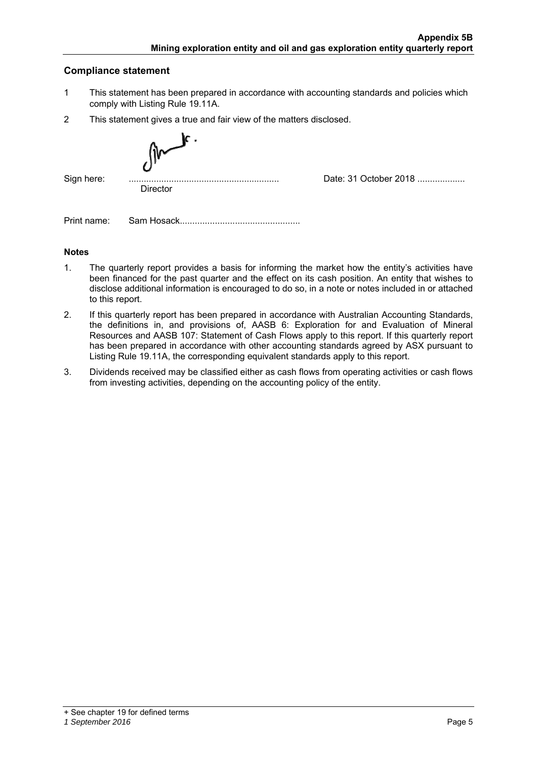# **Compliance statement**

- 1 This statement has been prepared in accordance with accounting standards and policies which comply with Listing Rule 19.11A.
- 2 This statement gives a true and fair view of the matters disclosed.

| Sign here: | <br><br><b>Director</b> | Date: 31 October 2018 |
|------------|-------------------------|-----------------------|

Print name: Sam Hosack................................................

# **Notes**

- 1. The quarterly report provides a basis for informing the market how the entity's activities have been financed for the past quarter and the effect on its cash position. An entity that wishes to disclose additional information is encouraged to do so, in a note or notes included in or attached to this report.
- 2. If this quarterly report has been prepared in accordance with Australian Accounting Standards, the definitions in, and provisions of, AASB 6: Exploration for and Evaluation of Mineral Resources and AASB 107: Statement of Cash Flows apply to this report. If this quarterly report has been prepared in accordance with other accounting standards agreed by ASX pursuant to Listing Rule 19.11A, the corresponding equivalent standards apply to this report.
- 3. Dividends received may be classified either as cash flows from operating activities or cash flows from investing activities, depending on the accounting policy of the entity.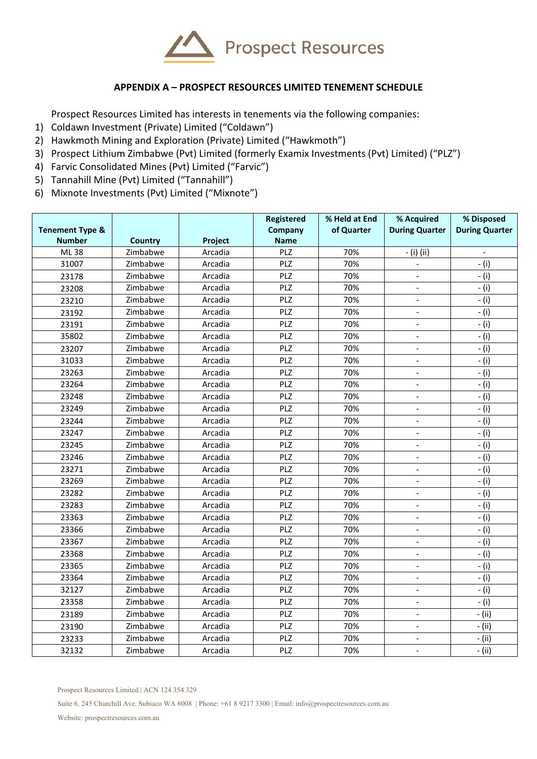

# **APPENDIX A – PROSPECT RESOURCES LIMITED TENEMENT SCHEDULE**

Prospect Resources Limited has interests in tenements via the following companies:

- 1) Coldawn Investment (Private) Limited ("Coldawn")
- 2) Hawkmoth Mining and Exploration (Private) Limited ("Hawkmoth")
- 3) Prospect Lithium Zimbabwe (Pvt) Limited (formerly Examix Investments (Pvt) Limited) ("PLZ")
- 4) Farvic Consolidated Mines (Pvt) Limited ("Farvic")
- 5) Tannahill Mine (Pvt) Limited ("Tannahill")
- 6) Mixnote Investments (Pvt) Limited ("Mixnote")

|                                             |          |         | Registered             | % Held at End | % Acquired                   | % Disposed            |
|---------------------------------------------|----------|---------|------------------------|---------------|------------------------------|-----------------------|
| <b>Tenement Type &amp;</b><br><b>Number</b> | Country  | Project | Company<br><b>Name</b> | of Quarter    | <b>During Quarter</b>        | <b>During Quarter</b> |
| ML 38                                       | Zimbabwe | Arcadia | PLZ                    | 70%           | - (i) (ii)                   | $\overline{a}$        |
| 31007                                       | Zimbabwe | Arcadia | PLZ                    | 70%           |                              | $-$ (i)               |
| 23178                                       | Zimbabwe | Arcadia | PLZ                    | 70%           |                              | - (i)                 |
| 23208                                       | Zimbabwe | Arcadia | PLZ                    | 70%           | $\overline{a}$               | - (i)                 |
| 23210                                       | Zimbabwe | Arcadia | PLZ                    | 70%           |                              | - (i)                 |
| 23192                                       | Zimbabwe | Arcadia | PLZ                    | 70%           |                              | $-$ (i)               |
| 23191                                       | Zimbabwe | Arcadia | PLZ                    | 70%           | L.                           | $-$ (i)               |
| 35802                                       | Zimbabwe | Arcadia | PLZ                    | 70%           | $\overline{\phantom{a}}$     | - (i)                 |
| 23207                                       | Zimbabwe | Arcadia | PLZ                    | 70%           | $\overline{\phantom{a}}$     | $-$ (i)               |
| 31033                                       | Zimbabwe | Arcadia | PLZ                    | 70%           | $\overline{\phantom{a}}$     | $-$ (i)               |
| 23263                                       | Zimbabwe | Arcadia | PLZ                    | 70%           | $\overline{\phantom{a}}$     | - (i)                 |
| 23264                                       | Zimbabwe | Arcadia | PLZ                    | 70%           | $\overline{a}$               | $-$ (i)               |
| 23248                                       | Zimbabwe | Arcadia | PLZ                    | 70%           |                              | $-$ (i)               |
| 23249                                       | Zimbabwe | Arcadia | PLZ                    | 70%           |                              | $-$ (i)               |
| 23244                                       | Zimbabwe | Arcadia | PLZ                    | 70%           |                              | $-$ (i)               |
| 23247                                       | Zimbabwe | Arcadia | PLZ                    | 70%           | $\qquad \qquad \blacksquare$ | $-$ (i)               |
| 23245                                       | Zimbabwe | Arcadia | PLZ                    | 70%           |                              | $-$ (i)               |
| 23246                                       | Zimbabwe | Arcadia | PLZ                    | 70%           | $\qquad \qquad \blacksquare$ | - (i)                 |
| 23271                                       | Zimbabwe | Arcadia | PLZ                    | 70%           | $\qquad \qquad \blacksquare$ | $-$ (i)               |
| 23269                                       | Zimbabwe | Arcadia | PLZ                    | 70%           | $\overline{\phantom{a}}$     | $-$ (i)               |
| 23282                                       | Zimbabwe | Arcadia | PLZ                    | 70%           | $\overline{\phantom{a}}$     | $-$ (i)               |
| 23283                                       | Zimbabwe | Arcadia | PLZ                    | 70%           | $\overline{\phantom{a}}$     | $-$ (i)               |
| 23363                                       | Zimbabwe | Arcadia | PLZ                    | 70%           | $\overline{a}$               | - (i)                 |
| 23366                                       | Zimbabwe | Arcadia | PLZ                    | 70%           | $\Box$                       | $-$ (i)               |
| 23367                                       | Zimbabwe | Arcadia | PLZ                    | 70%           | $\overline{\phantom{a}}$     | $-$ (i)               |
| 23368                                       | Zimbabwe | Arcadia | PLZ                    | 70%           | $\overline{\phantom{a}}$     | $-$ (i)               |
| 23365                                       | Zimbabwe | Arcadia | PLZ                    | 70%           | $\overline{\phantom{a}}$     | $-$ (i)               |
| 23364                                       | Zimbabwe | Arcadia | PLZ                    | 70%           | $\overline{\phantom{a}}$     | - (i)                 |
| 32127                                       | Zimbabwe | Arcadia | PLZ                    | 70%           | $\overline{\phantom{a}}$     | $-$ (i)               |
| 23358                                       | Zimbabwe | Arcadia | PLZ                    | 70%           | $\blacksquare$               | $-$ (i)               |
| 23189                                       | Zimbabwe | Arcadia | PLZ                    | 70%           | $\overline{\phantom{a}}$     | - (ii)                |
| 23190                                       | Zimbabwe | Arcadia | PLZ                    | 70%           | $\overline{\phantom{a}}$     | - (ii)                |
| 23233                                       | Zimbabwe | Arcadia | PLZ                    | 70%           | $\blacksquare$               | - (ii)                |
| 32132                                       | Zimbabwe | Arcadia | PLZ                    | 70%           | $\overline{\phantom{a}}$     | - (ii)                |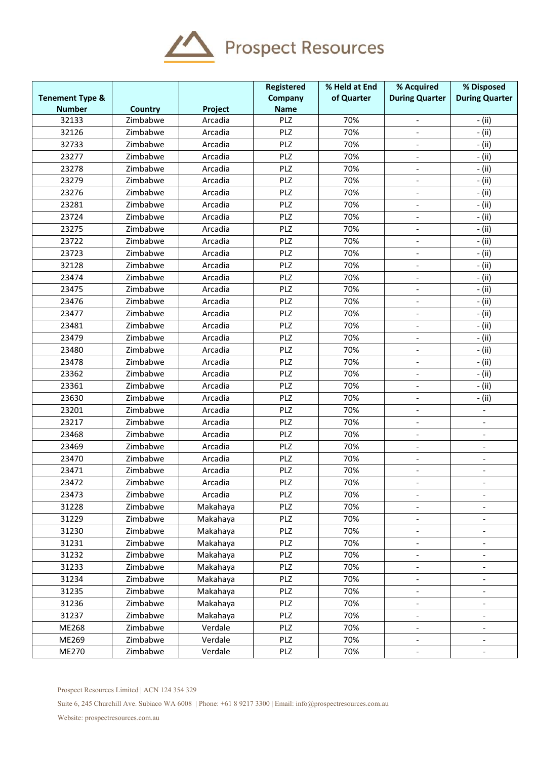

| <b>Tenement Type &amp;</b> |                |          | Registered<br>Company | % Held at End<br>of Quarter | % Acquired<br><b>During Quarter</b> | % Disposed<br><b>During Quarter</b> |
|----------------------------|----------------|----------|-----------------------|-----------------------------|-------------------------------------|-------------------------------------|
| <b>Number</b>              | <b>Country</b> | Project  | <b>Name</b>           |                             |                                     |                                     |
| 32133                      | Zimbabwe       | Arcadia  | PLZ                   | 70%                         |                                     | - (ii)                              |
| 32126                      | Zimbabwe       | Arcadia  | PLZ                   | 70%                         | $\qquad \qquad \blacksquare$        | - (ii)                              |
| 32733                      | Zimbabwe       | Arcadia  | PLZ                   | 70%                         | $\overline{\phantom{0}}$            | - (ii)                              |
| 23277                      | Zimbabwe       | Arcadia  | PLZ                   | 70%                         |                                     | - (ii)                              |
| 23278                      | Zimbabwe       | Arcadia  | PLZ                   | 70%                         |                                     | - (ii)                              |
| 23279                      | Zimbabwe       | Arcadia  | PLZ                   | 70%                         | $\qquad \qquad -$                   | - (ii)                              |
| 23276                      | Zimbabwe       | Arcadia  | PLZ                   | 70%                         | $\overline{\phantom{0}}$            | - (ii)                              |
| 23281                      | Zimbabwe       | Arcadia  | PLZ                   | 70%                         | $\overline{\phantom{0}}$            | - (ii)                              |
| 23724                      | Zimbabwe       | Arcadia  | PLZ                   | 70%                         |                                     | - (ii)                              |
| 23275                      | Zimbabwe       | Arcadia  | PLZ                   | 70%                         | $\overline{\phantom{0}}$            | - (ii)                              |
| 23722                      | Zimbabwe       | Arcadia  | PLZ                   | 70%                         | $\overline{\phantom{a}}$            | - (ii)                              |
| 23723                      | Zimbabwe       | Arcadia  | PLZ                   | 70%                         |                                     | - (ii)                              |
| 32128                      | Zimbabwe       | Arcadia  | PLZ                   | 70%                         |                                     | - (ii)                              |
| 23474                      | Zimbabwe       | Arcadia  | PLZ                   | 70%                         | $\overline{\phantom{0}}$            | - (ii)                              |
| 23475                      | Zimbabwe       | Arcadia  | PLZ                   | 70%                         | $\overline{\phantom{0}}$            | - (ii)                              |
| 23476                      | Zimbabwe       | Arcadia  | PLZ                   | 70%                         |                                     | - (ii)                              |
| 23477                      | Zimbabwe       | Arcadia  | PLZ                   | 70%                         |                                     | - (ii)                              |
| 23481                      | Zimbabwe       | Arcadia  | PLZ                   | 70%                         |                                     | - (ii)                              |
| 23479                      | Zimbabwe       | Arcadia  | PLZ                   | 70%                         | $\overline{\phantom{a}}$            | - (ii)                              |
| 23480                      | Zimbabwe       | Arcadia  | PLZ                   | 70%                         | $\overline{\phantom{a}}$            | - (ii)                              |
| 23478                      | Zimbabwe       | Arcadia  | PLZ                   | 70%                         |                                     | - (ii)                              |
| 23362                      | Zimbabwe       | Arcadia  | PLZ                   | 70%                         | $\frac{1}{2}$                       | - (ii)                              |
| 23361                      | Zimbabwe       | Arcadia  | PLZ                   | 70%                         | $\qquad \qquad -$                   | - (ii)                              |
| 23630                      | Zimbabwe       | Arcadia  | PLZ                   | 70%                         | $\overline{\phantom{0}}$            | - (ii)                              |
| 23201                      | Zimbabwe       | Arcadia  | PLZ                   | 70%                         | $\overline{\phantom{0}}$            |                                     |
| 23217                      | Zimbabwe       | Arcadia  | PLZ                   | 70%                         |                                     |                                     |
| 23468                      | Zimbabwe       | Arcadia  | PLZ                   | 70%                         | $\overline{\phantom{0}}$            | $\qquad \qquad \blacksquare$        |
| 23469                      | Zimbabwe       | Arcadia  | PLZ                   | 70%                         |                                     |                                     |
| 23470                      | Zimbabwe       | Arcadia  | PLZ                   | 70%                         |                                     |                                     |
| 23471                      | Zimbabwe       | Arcadia  | PLZ                   | 70%                         |                                     |                                     |
| 23472                      | Zimbabwe       | Arcadia  | PLZ                   | 70%                         |                                     | $\overline{\phantom{a}}$            |
| 23473                      | Zimbabwe       | Arcadia  | PLZ                   | 70%                         | $\overline{\phantom{0}}$            | $\overline{a}$                      |
| 31228                      | Zimbabwe       | Makahaya | PLZ                   | 70%                         |                                     |                                     |
| 31229                      | Zimbabwe       | Makahaya | PLZ                   | 70%                         |                                     |                                     |
| 31230                      | Zimbabwe       | Makahaya | PLZ                   | 70%                         | $\overline{\phantom{0}}$            |                                     |
| 31231                      | Zimbabwe       | Makahaya | PLZ                   | 70%                         | $\overline{\phantom{0}}$            | $\qquad \qquad -$                   |
| 31232                      | Zimbabwe       | Makahaya | PLZ                   | 70%                         | $\overline{\phantom{0}}$            | $\overline{a}$                      |
| 31233                      | Zimbabwe       | Makahaya | PLZ                   | 70%                         | $\overline{\phantom{0}}$            |                                     |
| 31234                      | Zimbabwe       | Makahaya | PLZ                   | 70%                         | $\overline{a}$                      |                                     |
| 31235                      | Zimbabwe       | Makahaya | PLZ                   | 70%                         | $\overline{\phantom{0}}$            | $\overline{\phantom{a}}$            |
| 31236                      | Zimbabwe       | Makahaya | PLZ                   | 70%                         | $\overline{\phantom{0}}$            | $\overline{a}$                      |
| 31237                      | Zimbabwe       | Makahaya | PLZ                   | 70%                         |                                     |                                     |
| ME268                      | Zimbabwe       | Verdale  | PLZ                   | 70%                         |                                     |                                     |
| ME269                      | Zimbabwe       | Verdale  | PLZ                   | 70%                         | $\overline{\phantom{0}}$            | $\qquad \qquad \blacksquare$        |
| ME270                      | Zimbabwe       | Verdale  | PLZ                   | 70%                         |                                     |                                     |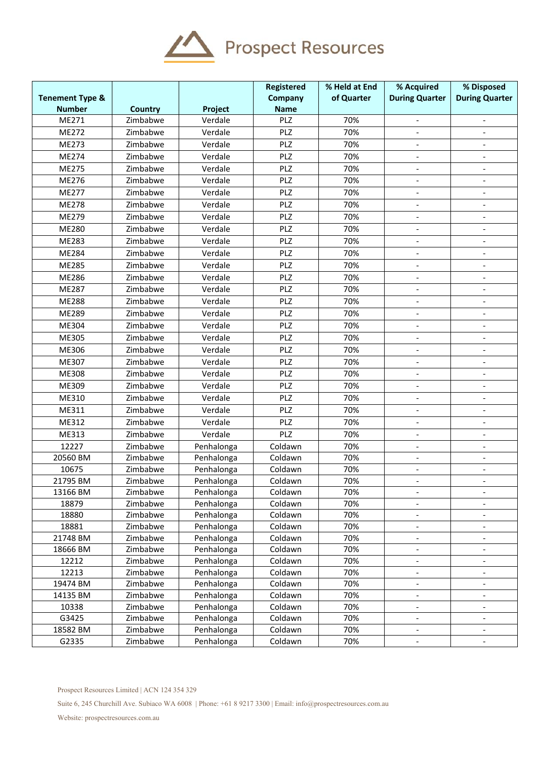

|                            |                |            | Registered  | % Held at End | % Acquired                   | % Disposed               |
|----------------------------|----------------|------------|-------------|---------------|------------------------------|--------------------------|
| <b>Tenement Type &amp;</b> |                |            | Company     | of Quarter    | <b>During Quarter</b>        | <b>During Quarter</b>    |
| <b>Number</b>              | <b>Country</b> | Project    | <b>Name</b> |               |                              |                          |
| ME271                      | Zimbabwe       | Verdale    | PLZ         | 70%           | $\overline{\phantom{a}}$     | $\overline{\phantom{a}}$ |
| ME272                      | Zimbabwe       | Verdale    | PLZ         | 70%           |                              |                          |
| ME273                      | Zimbabwe       | Verdale    | PLZ         | 70%           |                              |                          |
| ME274                      | Zimbabwe       | Verdale    | PLZ         | 70%           | $\qquad \qquad \blacksquare$ |                          |
| ME275                      | Zimbabwe       | Verdale    | PLZ         | 70%           | $\qquad \qquad \blacksquare$ | $\overline{\phantom{a}}$ |
| ME276                      | Zimbabwe       | Verdale    | PLZ         | 70%           | $\overline{\phantom{a}}$     | $\blacksquare$           |
| ME277                      | Zimbabwe       | Verdale    | PLZ         | 70%           | $\overline{\phantom{a}}$     |                          |
| ME278                      | Zimbabwe       | Verdale    | PLZ         | 70%           | $\overline{\phantom{a}}$     | $\overline{a}$           |
| ME279                      | Zimbabwe       | Verdale    | PLZ         | 70%           | $\qquad \qquad -$            | $\overline{\phantom{a}}$ |
| ME280                      | Zimbabwe       | Verdale    | PLZ         | 70%           | $\overline{\phantom{a}}$     |                          |
| ME283                      | Zimbabwe       | Verdale    | PLZ         | 70%           |                              |                          |
| ME284                      | Zimbabwe       | Verdale    | PLZ         | 70%           | $\overline{\phantom{a}}$     |                          |
| ME285                      | Zimbabwe       | Verdale    | PLZ         | 70%           | $\qquad \qquad \blacksquare$ | $\overline{\phantom{a}}$ |
| ME286                      | Zimbabwe       | Verdale    | PLZ         | 70%           | $\overline{\phantom{a}}$     | $\overline{\phantom{a}}$ |
| ME287                      | Zimbabwe       | Verdale    | PLZ         | 70%           |                              |                          |
| <b>ME288</b>               | Zimbabwe       | Verdale    | PLZ         | 70%           |                              |                          |
| ME289                      | Zimbabwe       | Verdale    | PLZ         | 70%           |                              |                          |
| ME304                      | Zimbabwe       | Verdale    | PLZ         | 70%           | $\qquad \qquad \blacksquare$ | $\overline{\phantom{a}}$ |
| ME305                      | Zimbabwe       | Verdale    | PLZ         | 70%           | $\overline{\phantom{a}}$     |                          |
| ME306                      | Zimbabwe       | Verdale    | PLZ         | 70%           |                              |                          |
| ME307                      | Zimbabwe       | Verdale    | PLZ         | 70%           | $\frac{1}{2}$                | $\overline{a}$           |
| ME308                      | Zimbabwe       | Verdale    | PLZ         | 70%           | $\overline{\phantom{a}}$     | $\overline{\phantom{a}}$ |
| ME309                      | Zimbabwe       | Verdale    | PLZ         | 70%           | $\blacksquare$               | $\blacksquare$           |
| ME310                      | Zimbabwe       | Verdale    | PLZ         | 70%           | $\overline{\phantom{a}}$     | $\overline{\phantom{a}}$ |
| ME311                      | Zimbabwe       | Verdale    | PLZ         | 70%           | $\overline{a}$               |                          |
| ME312                      | Zimbabwe       | Verdale    | PLZ         | 70%           | $\qquad \qquad \blacksquare$ |                          |
| ME313                      | Zimbabwe       | Verdale    | PLZ         | 70%           | $\overline{\phantom{a}}$     |                          |
| 12227                      | Zimbabwe       | Penhalonga | Coldawn     | 70%           | $\overline{\phantom{a}}$     |                          |
| 20560 BM                   | Zimbabwe       | Penhalonga | Coldawn     | 70%           | $\qquad \qquad \blacksquare$ | $\overline{\phantom{a}}$ |
| 10675                      | Zimbabwe       | Penhalonga | Coldawn     | 70%           | $\overline{\phantom{a}}$     |                          |
| 21795 BM                   | Zimbabwe       | Penhalonga | Coldawn     | 70%           |                              |                          |
| 13166 BM                   | Zimbabwe       | Penhalonga | Coldawn     | 70%           | $\overline{\phantom{0}}$     | $\overline{\phantom{a}}$ |
| 18879                      | Zimbabwe       | Penhalonga | Coldawn     | 70%           | $\frac{1}{2}$                |                          |
| 18880                      | Zimbabwe       | Penhalonga | Coldawn     | 70%           | $\overline{\phantom{a}}$     | $\overline{\phantom{a}}$ |
| 18881                      | Zimbabwe       | Penhalonga | Coldawn     | 70%           | $\qquad \qquad -$            | $\overline{\phantom{a}}$ |
| 21748 BM                   | Zimbabwe       | Penhalonga | Coldawn     | 70%           |                              |                          |
| 18666 BM                   | Zimbabwe       | Penhalonga | Coldawn     | 70%           | $\frac{1}{2}$                | $\overline{\phantom{a}}$ |
| 12212                      | Zimbabwe       | Penhalonga | Coldawn     | 70%           | $\overline{\phantom{a}}$     |                          |
| 12213                      | Zimbabwe       | Penhalonga | Coldawn     | 70%           | $\overline{\phantom{a}}$     | $\overline{\phantom{a}}$ |
| 19474 BM                   | Zimbabwe       | Penhalonga | Coldawn     | 70%           | $\qquad \qquad \blacksquare$ |                          |
| 14135 BM                   | Zimbabwe       | Penhalonga | Coldawn     | 70%           | $\overline{\phantom{a}}$     | $\overline{\phantom{a}}$ |
| 10338                      | Zimbabwe       | Penhalonga | Coldawn     | 70%           | $\overline{\phantom{a}}$     | $\overline{\phantom{a}}$ |
| G3425                      | Zimbabwe       | Penhalonga | Coldawn     | 70%           | $\overline{\phantom{a}}$     | $\overline{\phantom{a}}$ |
| 18582 BM                   | Zimbabwe       | Penhalonga | Coldawn     | 70%           | $\blacksquare$               | $\blacksquare$           |
| G2335                      | Zimbabwe       | Penhalonga | Coldawn     | 70%           |                              |                          |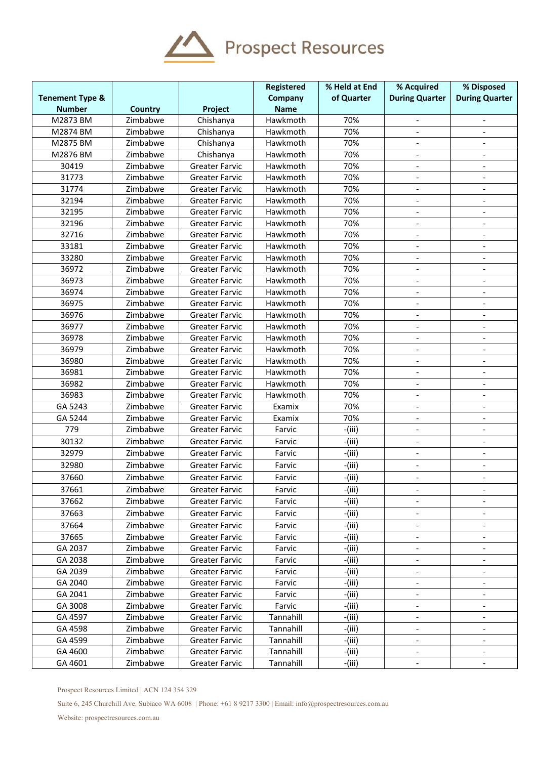

|                            |                |                       | Registered  | % Held at End | % Acquired                   | % Disposed               |
|----------------------------|----------------|-----------------------|-------------|---------------|------------------------------|--------------------------|
| <b>Tenement Type &amp;</b> |                |                       | Company     | of Quarter    | <b>During Quarter</b>        | <b>During Quarter</b>    |
| <b>Number</b>              | <b>Country</b> | Project               | <b>Name</b> |               |                              |                          |
| M2873 BM                   | Zimbabwe       | Chishanya             | Hawkmoth    | 70%           | $\overline{\phantom{a}}$     | $\overline{\phantom{a}}$ |
| M2874 BM                   | Zimbabwe       | Chishanya             | Hawkmoth    | 70%           | $\blacksquare$               | $\blacksquare$           |
| M2875 BM                   | Zimbabwe       | Chishanya             | Hawkmoth    | 70%           |                              |                          |
| M2876 BM                   | Zimbabwe       | Chishanya             | Hawkmoth    | 70%           |                              |                          |
| 30419                      | Zimbabwe       | <b>Greater Farvic</b> | Hawkmoth    | 70%           |                              | $\overline{\phantom{a}}$ |
| 31773                      | Zimbabwe       | <b>Greater Farvic</b> | Hawkmoth    | 70%           | $\overline{\phantom{a}}$     | $\blacksquare$           |
| 31774                      | Zimbabwe       | <b>Greater Farvic</b> | Hawkmoth    | 70%           | $\frac{1}{2}$                | $\overline{a}$           |
| 32194                      | Zimbabwe       | <b>Greater Farvic</b> | Hawkmoth    | 70%           | $\overline{\phantom{a}}$     | $\overline{a}$           |
| 32195                      | Zimbabwe       | <b>Greater Farvic</b> | Hawkmoth    | 70%           | $\overline{\phantom{a}}$     | $\overline{\phantom{a}}$ |
| 32196                      | Zimbabwe       | <b>Greater Farvic</b> | Hawkmoth    | 70%           | $\overline{\phantom{a}}$     | $\overline{\phantom{a}}$ |
| 32716                      | Zimbabwe       | <b>Greater Farvic</b> | Hawkmoth    | 70%           | $\blacksquare$               | $\overline{\phantom{a}}$ |
| 33181                      | Zimbabwe       | <b>Greater Farvic</b> | Hawkmoth    | 70%           |                              |                          |
| 33280                      | Zimbabwe       | <b>Greater Farvic</b> | Hawkmoth    | 70%           |                              |                          |
| 36972                      | Zimbabwe       | <b>Greater Farvic</b> | Hawkmoth    | 70%           | $\overline{\phantom{a}}$     | $\overline{\phantom{a}}$ |
| 36973                      | Zimbabwe       | <b>Greater Farvic</b> | Hawkmoth    | 70%           | $\overline{\phantom{a}}$     |                          |
| 36974                      | Zimbabwe       | <b>Greater Farvic</b> | Hawkmoth    | 70%           |                              |                          |
| 36975                      | Zimbabwe       | <b>Greater Farvic</b> | Hawkmoth    | 70%           | $\qquad \qquad -$            | $\overline{\phantom{a}}$ |
| 36976                      | Zimbabwe       | <b>Greater Farvic</b> | Hawkmoth    | 70%           | $\overline{\phantom{a}}$     | $\overline{\phantom{a}}$ |
| 36977                      | Zimbabwe       | <b>Greater Farvic</b> | Hawkmoth    | 70%           | $\blacksquare$               | $\blacksquare$           |
| 36978                      | Zimbabwe       | <b>Greater Farvic</b> | Hawkmoth    | 70%           |                              |                          |
| 36979                      | Zimbabwe       | <b>Greater Farvic</b> | Hawkmoth    | 70%           |                              |                          |
| 36980                      | Zimbabwe       | <b>Greater Farvic</b> | Hawkmoth    | 70%           | $\overline{\phantom{a}}$     | $\overline{\phantom{a}}$ |
| 36981                      | Zimbabwe       | <b>Greater Farvic</b> | Hawkmoth    | 70%           | $\overline{\phantom{a}}$     | $\blacksquare$           |
| 36982                      | Zimbabwe       | <b>Greater Farvic</b> | Hawkmoth    | 70%           | $\frac{1}{2}$                | $\overline{a}$           |
| 36983                      | Zimbabwe       | <b>Greater Farvic</b> | Hawkmoth    | 70%           | $\overline{\phantom{a}}$     |                          |
| GA 5243                    | Zimbabwe       | <b>Greater Farvic</b> | Examix      | 70%           | $\overline{\phantom{a}}$     | $\overline{\phantom{a}}$ |
| GA 5244                    | Zimbabwe       | <b>Greater Farvic</b> | Examix      | 70%           | $\overline{\phantom{a}}$     | $\overline{\phantom{a}}$ |
| 779                        | Zimbabwe       | <b>Greater Farvic</b> | Farvic      | $-(iii)$      | $\blacksquare$               | $\overline{\phantom{a}}$ |
| 30132                      | Zimbabwe       | <b>Greater Farvic</b> | Farvic      | $-(iii)$      |                              | $\overline{\phantom{a}}$ |
| 32979                      | Zimbabwe       | <b>Greater Farvic</b> | Farvic      | -(iii)        | $\overline{\phantom{a}}$     |                          |
| 32980                      | Zimbabwe       | <b>Greater Farvic</b> | Farvic      | -(iii)        |                              |                          |
| 37660                      | Zimbabwe       | <b>Greater Farvic</b> | Farvic      | $-(iii)$      | $\overline{\phantom{a}}$     | $\overline{\phantom{a}}$ |
| 37661                      | Zimbabwe       | <b>Greater Farvic</b> | Farvic      | -(iii)        |                              |                          |
| 37662                      | Zimbabwe       | <b>Greater Farvic</b> | Farvic      | $-(iii)$      |                              |                          |
| 37663                      | Zimbabwe       | Greater Farvic        | Farvic      | -(iii)        | $\overline{\phantom{a}}$     |                          |
| 37664                      | Zimbabwe       | Greater Farvic        | Farvic      | $-(iii)$      | $\overline{\phantom{a}}$     | $\overline{\phantom{a}}$ |
| 37665                      | Zimbabwe       | Greater Farvic        | Farvic      | -(iii)        | $\blacksquare$               | $\overline{\phantom{a}}$ |
| GA 2037                    | Zimbabwe       | Greater Farvic        | Farvic      | $-(iii)$      | $\overline{\phantom{a}}$     |                          |
| GA 2038                    | Zimbabwe       | <b>Greater Farvic</b> | Farvic      | -(iii)        |                              |                          |
| GA 2039                    | Zimbabwe       | Greater Farvic        | Farvic      | $-(iii)$      |                              |                          |
| GA 2040                    | Zimbabwe       | Greater Farvic        | Farvic      | -(iii)        | $\overline{\phantom{a}}$     | $\overline{\phantom{a}}$ |
| GA 2041                    | Zimbabwe       | Greater Farvic        | Farvic      | $-(iii)$      |                              |                          |
| GA 3008                    | Zimbabwe       | <b>Greater Farvic</b> | Farvic      | $-(iii)$      | $\qquad \qquad \blacksquare$ |                          |
| GA 4597                    | Zimbabwe       | Greater Farvic        | Tannahill   | $-(iii)$      | $\overline{\phantom{a}}$     | $\overline{\phantom{a}}$ |
| GA 4598                    | Zimbabwe       | Greater Farvic        | Tannahill   | -(iii)        | $\overline{\phantom{a}}$     | $\overline{\phantom{a}}$ |
| GA 4599                    | Zimbabwe       | Greater Farvic        | Tannahill   | $-(iii)$      | $\overline{\phantom{a}}$     | $\overline{\phantom{a}}$ |
| GA 4600                    | Zimbabwe       | <b>Greater Farvic</b> | Tannahill   | -(iii)        |                              |                          |
| GA 4601                    | Zimbabwe       | Greater Farvic        | Tannahill   | -(iii)        |                              |                          |
|                            |                |                       |             |               |                              |                          |

Prospect Resources Limited | ACN 124 354 329

Suite 6, 245 Churchill Ave. Subiaco WA 6008 | Phone: +61 8 9217 3300 | Email: info@prospectresources.com.au

Website: prospectresources.com.au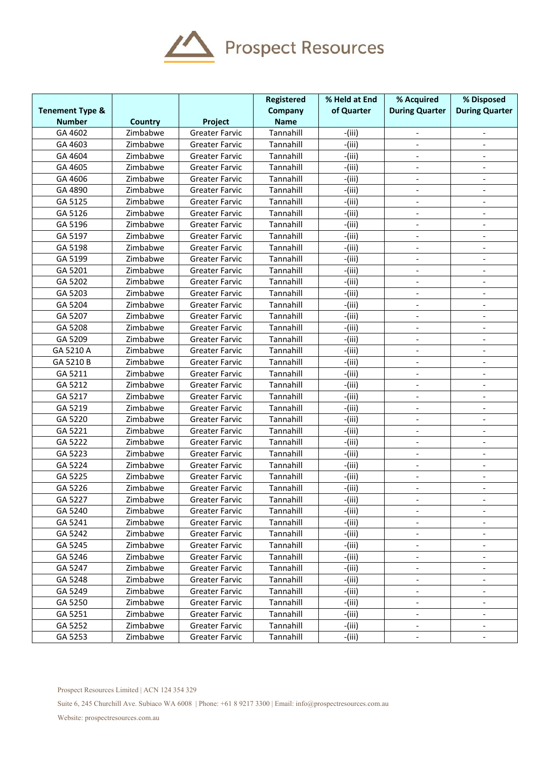

|                            |                |                       | Registered  | % Held at End | % Acquired                   | % Disposed               |
|----------------------------|----------------|-----------------------|-------------|---------------|------------------------------|--------------------------|
| <b>Tenement Type &amp;</b> |                |                       | Company     | of Quarter    | <b>During Quarter</b>        | <b>During Quarter</b>    |
| <b>Number</b>              | <b>Country</b> | Project               | <b>Name</b> |               |                              |                          |
| GA 4602                    | Zimbabwe       | <b>Greater Farvic</b> | Tannahill   | $-(iii)$      |                              |                          |
| GA 4603                    | Zimbabwe       | <b>Greater Farvic</b> | Tannahill   | $-(iii)$      |                              |                          |
| GA 4604                    | Zimbabwe       | <b>Greater Farvic</b> | Tannahill   | $-(iii)$      | $\overline{\phantom{a}}$     | $\overline{\phantom{a}}$ |
| GA 4605                    | Zimbabwe       | <b>Greater Farvic</b> | Tannahill   | $-(iii)$      | $\overline{\phantom{a}}$     |                          |
| GA 4606                    | Zimbabwe       | <b>Greater Farvic</b> | Tannahill   | $-(iii)$      |                              |                          |
| GA 4890                    | Zimbabwe       | <b>Greater Farvic</b> | Tannahill   | $-(iii)$      | $\blacksquare$               | $\overline{\phantom{a}}$ |
| GA 5125                    | Zimbabwe       | <b>Greater Farvic</b> | Tannahill   | $-(iii)$      | $\blacksquare$               | $\overline{\phantom{a}}$ |
| GA 5126                    | Zimbabwe       | <b>Greater Farvic</b> | Tannahill   | $-(iii)$      | $\blacksquare$               | $\overline{\phantom{a}}$ |
| GA 5196                    | Zimbabwe       | <b>Greater Farvic</b> | Tannahill   | $-(iii)$      |                              |                          |
| GA 5197                    | Zimbabwe       | <b>Greater Farvic</b> | Tannahill   | $-(iii)$      |                              |                          |
| GA 5198                    | Zimbabwe       | <b>Greater Farvic</b> | Tannahill   | $-(iii)$      | $\overline{a}$               |                          |
| GA 5199                    | Zimbabwe       | <b>Greater Farvic</b> | Tannahill   | $-(iii)$      | $\blacksquare$               | $\overline{a}$           |
| GA 5201                    | Zimbabwe       | <b>Greater Farvic</b> | Tannahill   | $-(iii)$      |                              |                          |
| GA 5202                    | Zimbabwe       | <b>Greater Farvic</b> | Tannahill   | $-(iii)$      |                              |                          |
| GA 5203                    | Zimbabwe       | <b>Greater Farvic</b> | Tannahill   | $-(iii)$      | $\overline{\phantom{a}}$     | $\overline{\phantom{a}}$ |
| GA 5204                    | Zimbabwe       | <b>Greater Farvic</b> | Tannahill   | $-(iii)$      | $\overline{\phantom{a}}$     | $\overline{\phantom{a}}$ |
| GA 5207                    | Zimbabwe       | <b>Greater Farvic</b> | Tannahill   | $-(iii)$      | $\blacksquare$               |                          |
| GA 5208                    | Zimbabwe       | Greater Farvic        | Tannahill   | $-(iii)$      |                              | $\overline{\phantom{a}}$ |
| GA 5209                    | Zimbabwe       | <b>Greater Farvic</b> | Tannahill   | $-(iii)$      |                              |                          |
| GA 5210 A                  | Zimbabwe       | <b>Greater Farvic</b> | Tannahill   | $-(iii)$      | $\overline{\phantom{a}}$     | $\overline{\phantom{a}}$ |
| GA 5210 B                  | Zimbabwe       | <b>Greater Farvic</b> | Tannahill   | $-(iii)$      | $\overline{\phantom{a}}$     |                          |
| GA 5211                    | Zimbabwe       | <b>Greater Farvic</b> | Tannahill   | $-(iii)$      | $\blacksquare$               |                          |
| GA 5212                    | Zimbabwe       | <b>Greater Farvic</b> | Tannahill   | $-(iii)$      | $\blacksquare$               | $\overline{\phantom{a}}$ |
| GA 5217                    | Zimbabwe       | <b>Greater Farvic</b> | Tannahill   | $-(iii)$      | $\blacksquare$               | $\overline{\phantom{a}}$ |
| GA 5219                    | Zimbabwe       | <b>Greater Farvic</b> | Tannahill   | (iii)         | $\overline{\phantom{a}}$     |                          |
| GA 5220                    | Zimbabwe       | <b>Greater Farvic</b> | Tannahill   | $-(iii)$      |                              |                          |
| GA 5221                    | Zimbabwe       | <b>Greater Farvic</b> | Tannahill   | $-(iii)$      |                              | $\overline{\phantom{a}}$ |
| GA 5222                    | Zimbabwe       | <b>Greater Farvic</b> | Tannahill   | $-(iii)$      | $\overline{\phantom{a}}$     | $\overline{\phantom{a}}$ |
| GA 5223                    | Zimbabwe       | <b>Greater Farvic</b> | Tannahill   | $-(iii)$      | $\blacksquare$               | $\overline{a}$           |
| GA 5224                    | Zimbabwe       | <b>Greater Farvic</b> | Tannahill   | $-(iii)$      |                              |                          |
| GA 5225                    | Zimbabwe       | <b>Greater Farvic</b> | Tannahill   | $-(iii)$      |                              | $\overline{\phantom{a}}$ |
| GA 5226                    | Zimbabwe       | <b>Greater Farvic</b> | Tannahill   | $-(iii)$      | $\overline{\phantom{a}}$     | $\overline{\phantom{a}}$ |
| GA 5227                    | Zimbabwe       | <b>Greater Farvic</b> | Tannahill   | -(iii)        | $\overline{\phantom{a}}$     | $\overline{\phantom{a}}$ |
| GA 5240                    | Zimbabwe       | <b>Greater Farvic</b> | Tannahill   | $-(iii)$      | $\overline{\phantom{a}}$     |                          |
| GA 5241                    | Zimbabwe       | <b>Greater Farvic</b> | Tannahill   | $-(iii)$      |                              |                          |
| GA 5242                    | Zimbabwe       | Greater Farvic        | Tannahill   | $-(iii)$      | $\overline{\phantom{a}}$     |                          |
| GA 5245                    | Zimbabwe       | Greater Farvic        | Tannahill   | -(iii)        |                              |                          |
| GA 5246                    | Zimbabwe       | <b>Greater Farvic</b> | Tannahill   | $-(iii)$      | $\overline{\phantom{a}}$     |                          |
| GA 5247                    | Zimbabwe       | <b>Greater Farvic</b> | Tannahill   | -(iii)        | $\qquad \qquad \blacksquare$ | $\overline{\phantom{a}}$ |
| GA 5248                    | Zimbabwe       | Greater Farvic        | Tannahill   | $-(iii)$      | $\overline{\phantom{a}}$     | $\overline{\phantom{a}}$ |
| GA 5249                    | Zimbabwe       | <b>Greater Farvic</b> | Tannahill   | -(iii)        | $\blacksquare$               | $\overline{\phantom{a}}$ |
| GA 5250                    | Zimbabwe       | <b>Greater Farvic</b> | Tannahill   | $-(iii)$      | $\overline{\phantom{a}}$     |                          |
| GA 5251                    | Zimbabwe       | Greater Farvic        | Tannahill   | -(iii)        |                              |                          |
| GA 5252                    | Zimbabwe       | Greater Farvic        | Tannahill   | $-(iii)$      | $\qquad \qquad \blacksquare$ |                          |
| GA 5253                    | Zimbabwe       | <b>Greater Farvic</b> | Tannahill   | -(iii)        | $\overline{\phantom{a}}$     | $\overline{\phantom{a}}$ |